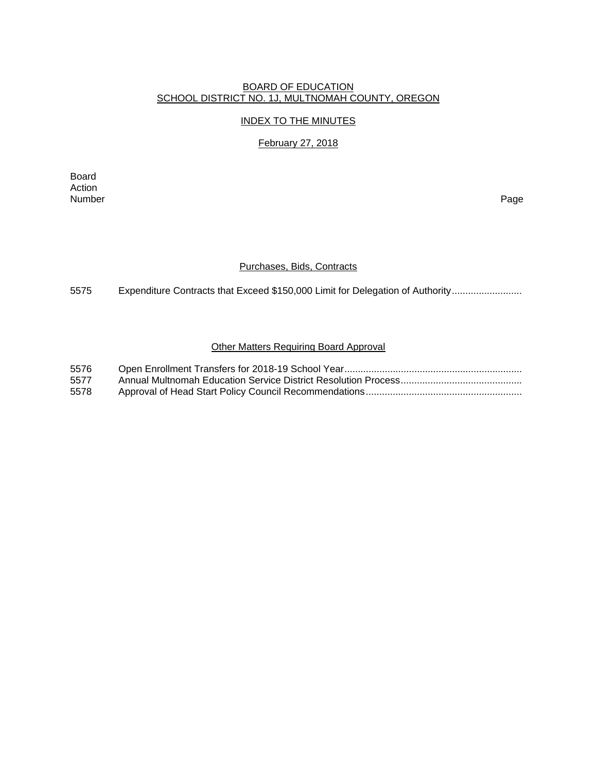# BOARD OF EDUCATION SCHOOL DISTRICT NO. 1J, MULTNOMAH COUNTY, OREGON

#### INDEX TO THE MINUTES

# February 27, 2018

Board Action<br>Number Number Page

### Purchases, Bids, Contracts

5575 Expenditure Contracts that Exceed \$150,000 Limit for Delegation of Authority ..........................

#### Other Matters Requiring Board Approval

| 5576 |  |
|------|--|
| 5577 |  |
| 5578 |  |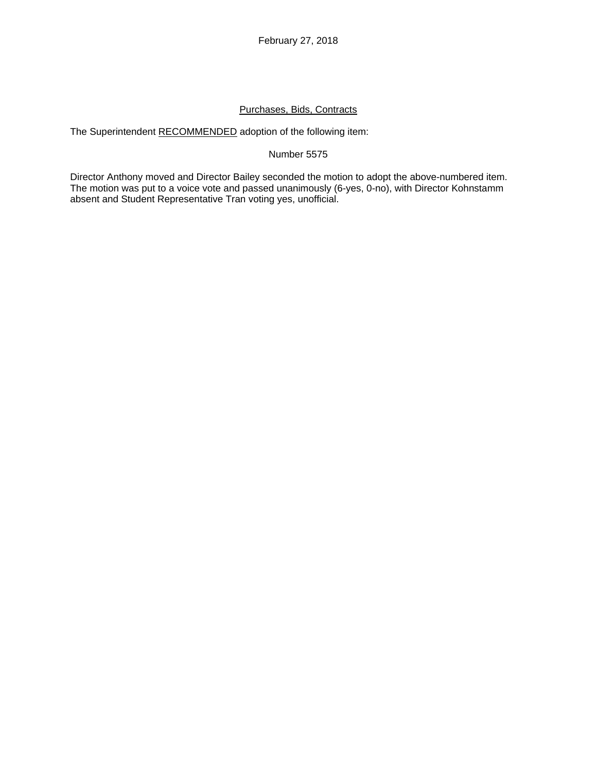# Purchases, Bids, Contracts

The Superintendent RECOMMENDED adoption of the following item:

## Number 5575

Director Anthony moved and Director Bailey seconded the motion to adopt the above-numbered item. The motion was put to a voice vote and passed unanimously (6-yes, 0-no), with Director Kohnstamm absent and Student Representative Tran voting yes, unofficial.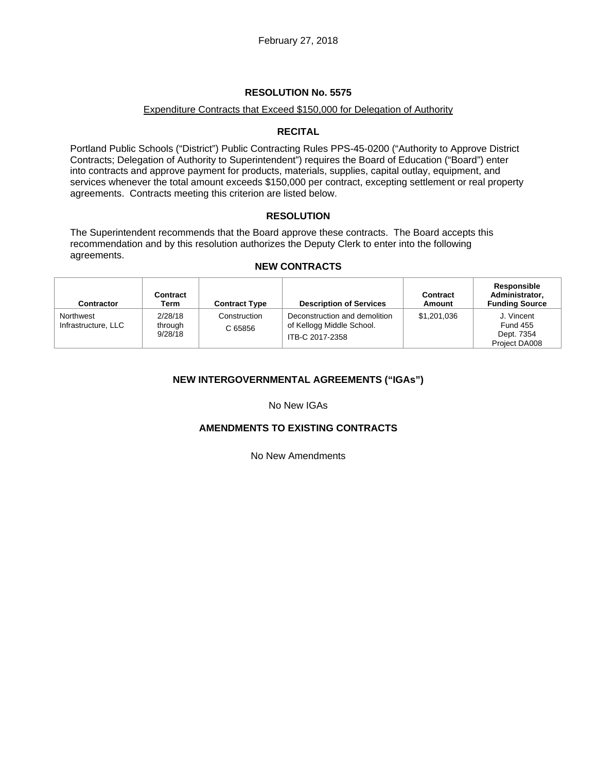### **RESOLUTION No. 5575**

### Expenditure Contracts that Exceed \$150,000 for Delegation of Authority

### **RECITAL**

Portland Public Schools ("District") Public Contracting Rules PPS-45-0200 ("Authority to Approve District Contracts; Delegation of Authority to Superintendent") requires the Board of Education ("Board") enter into contracts and approve payment for products, materials, supplies, capital outlay, equipment, and services whenever the total amount exceeds \$150,000 per contract, excepting settlement or real property agreements. Contracts meeting this criterion are listed below.

### **RESOLUTION**

The Superintendent recommends that the Board approve these contracts. The Board accepts this recommendation and by this resolution authorizes the Deputy Clerk to enter into the following agreements.

### **NEW CONTRACTS**

| Contractor                       | Contract<br>Term              | <b>Contract Type</b>    | <b>Description of Services</b>                                                | Contract<br>Amount | Responsible<br>Administrator,<br><b>Funding Source</b>       |
|----------------------------------|-------------------------------|-------------------------|-------------------------------------------------------------------------------|--------------------|--------------------------------------------------------------|
| Northwest<br>Infrastructure, LLC | 2/28/18<br>through<br>9/28/18 | Construction<br>C 65856 | Deconstruction and demolition<br>of Kellogg Middle School.<br>ITB-C 2017-2358 | \$1,201,036        | J. Vincent<br><b>Fund 455</b><br>Dept. 7354<br>Project DA008 |

## **NEW INTERGOVERNMENTAL AGREEMENTS ("IGAs")**

No New IGAs

#### **AMENDMENTS TO EXISTING CONTRACTS**

No New Amendments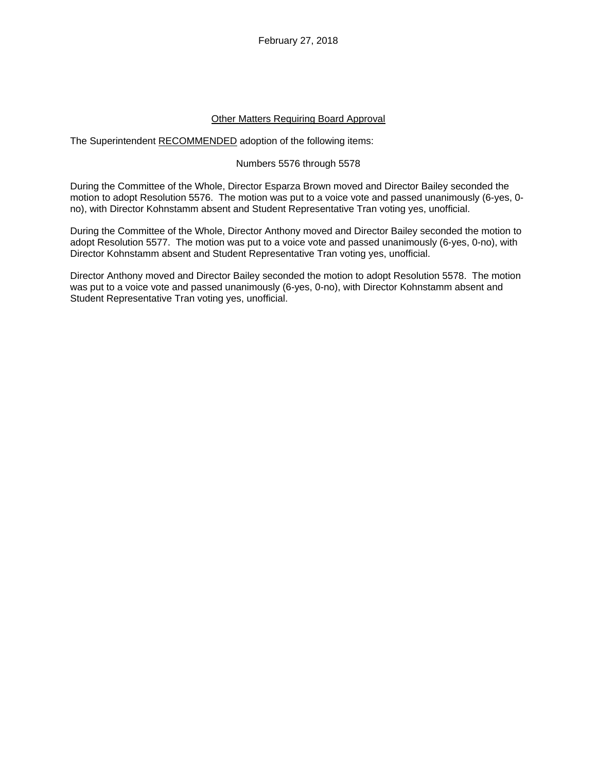February 27, 2018

### Other Matters Requiring Board Approval

The Superintendent RECOMMENDED adoption of the following items:

### Numbers 5576 through 5578

During the Committee of the Whole, Director Esparza Brown moved and Director Bailey seconded the motion to adopt Resolution 5576. The motion was put to a voice vote and passed unanimously (6-yes, 0 no), with Director Kohnstamm absent and Student Representative Tran voting yes, unofficial.

During the Committee of the Whole, Director Anthony moved and Director Bailey seconded the motion to adopt Resolution 5577. The motion was put to a voice vote and passed unanimously (6-yes, 0-no), with Director Kohnstamm absent and Student Representative Tran voting yes, unofficial.

Director Anthony moved and Director Bailey seconded the motion to adopt Resolution 5578. The motion was put to a voice vote and passed unanimously (6-yes, 0-no), with Director Kohnstamm absent and Student Representative Tran voting yes, unofficial.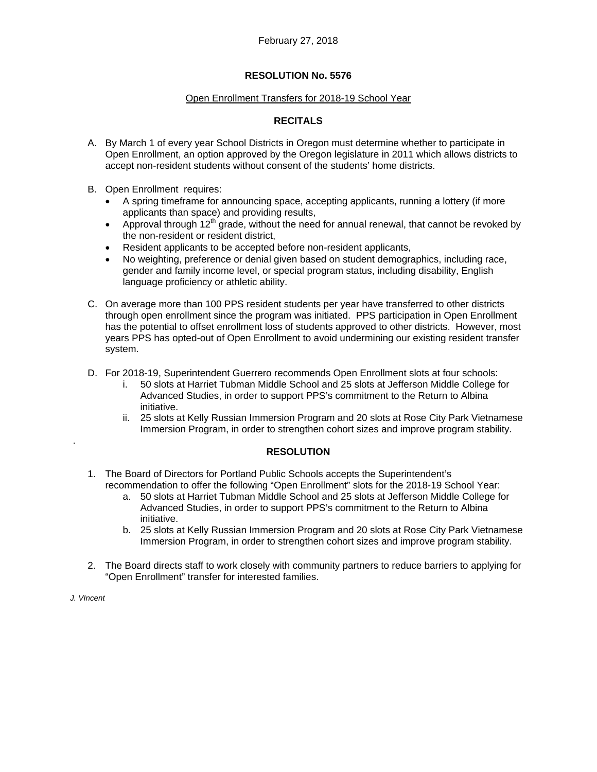## **RESOLUTION No. 5576**

#### Open Enrollment Transfers for 2018-19 School Year

# **RECITALS**

- A. By March 1 of every year School Districts in Oregon must determine whether to participate in Open Enrollment, an option approved by the Oregon legislature in 2011 which allows districts to accept non-resident students without consent of the students' home districts.
- B. Open Enrollment requires:
	- A spring timeframe for announcing space, accepting applicants, running a lottery (if more applicants than space) and providing results,
	- Approval through  $12<sup>th</sup>$  grade, without the need for annual renewal, that cannot be revoked by the non-resident or resident district,
	- Resident applicants to be accepted before non-resident applicants,
	- No weighting, preference or denial given based on student demographics, including race, gender and family income level, or special program status, including disability, English language proficiency or athletic ability.
- C. On average more than 100 PPS resident students per year have transferred to other districts through open enrollment since the program was initiated. PPS participation in Open Enrollment has the potential to offset enrollment loss of students approved to other districts. However, most years PPS has opted-out of Open Enrollment to avoid undermining our existing resident transfer system.
- D. For 2018-19, Superintendent Guerrero recommends Open Enrollment slots at four schools:
	- i. 50 slots at Harriet Tubman Middle School and 25 slots at Jefferson Middle College for Advanced Studies, in order to support PPS's commitment to the Return to Albina initiative.
	- ii. 25 slots at Kelly Russian Immersion Program and 20 slots at Rose City Park Vietnamese Immersion Program, in order to strengthen cohort sizes and improve program stability.

## **RESOLUTION**

- 1. The Board of Directors for Portland Public Schools accepts the Superintendent's recommendation to offer the following "Open Enrollment" slots for the 2018-19 School Year:
	- a. 50 slots at Harriet Tubman Middle School and 25 slots at Jefferson Middle College for Advanced Studies, in order to support PPS's commitment to the Return to Albina initiative.
	- b. 25 slots at Kelly Russian Immersion Program and 20 slots at Rose City Park Vietnamese Immersion Program, in order to strengthen cohort sizes and improve program stability.
- 2. The Board directs staff to work closely with community partners to reduce barriers to applying for "Open Enrollment" transfer for interested families.

*J. VIncent* 

.